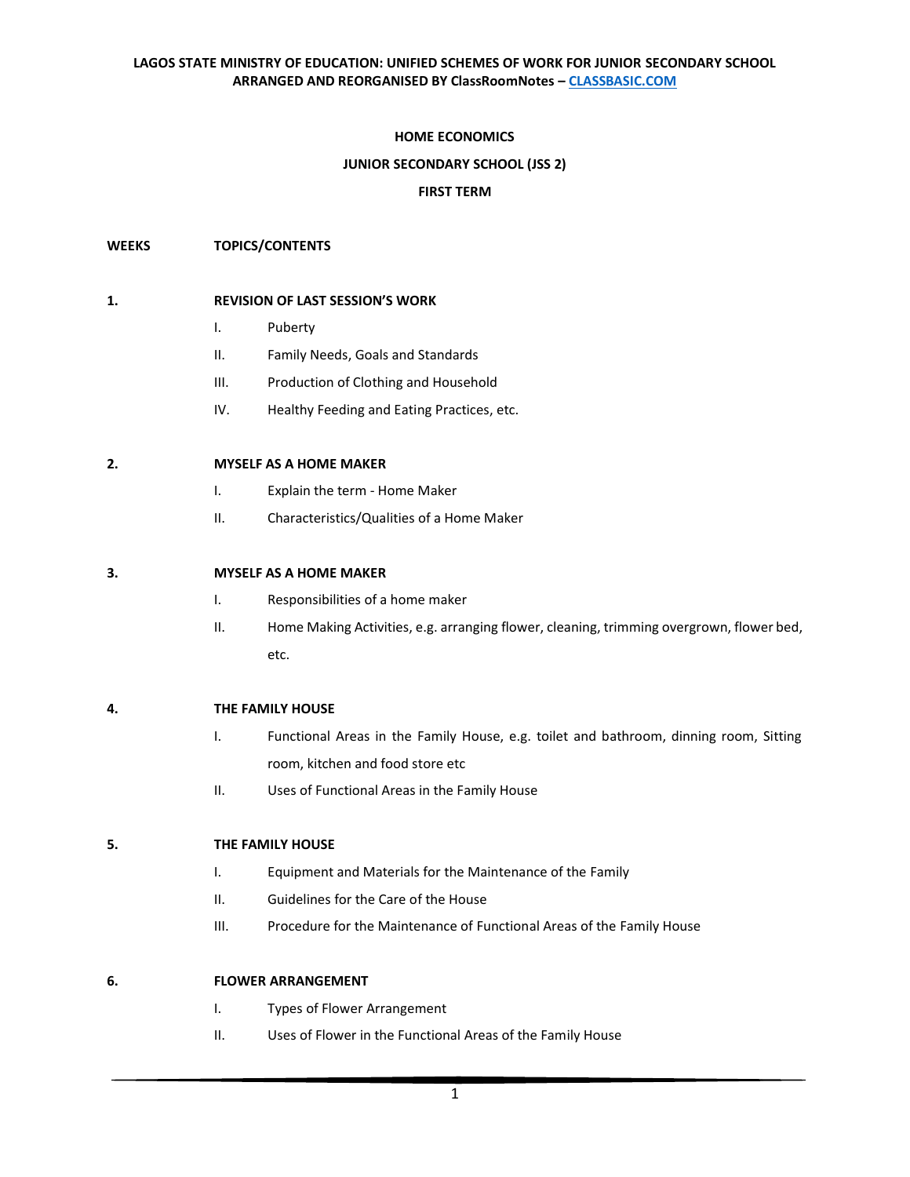### **HOME ECONOMICS**

#### **JUNIOR SECONDARY SCHOOL (JSS 2)**

### **FIRST TERM**

### **WEEKS TOPICS/CONTENTS**

#### **1. REVISION OF LAST SESSION'S WORK**

- I. Puberty
- II. Family Needs, Goals and Standards
- III. Production of Clothing and Household
- IV. Healthy Feeding and Eating Practices, etc.

#### **2. MYSELF AS A HOME MAKER**

- I. Explain the term Home Maker
- II. Characteristics/Qualities of a Home Maker

### **3. MYSELF AS A HOME MAKER**

- I. Responsibilities of a home maker
- II. Home Making Activities, e.g. arranging flower, cleaning, trimming overgrown, flower bed, etc.

#### **4. THE FAMILY HOUSE**

- I. Functional Areas in the Family House, e.g. toilet and bathroom, dinning room, Sitting room, kitchen and food store etc
- II. Uses of Functional Areas in the Family House

### **5. THE FAMILY HOUSE**

- I. Equipment and Materials for the Maintenance of the Family
- II. Guidelines for the Care of the House
- III. Procedure for the Maintenance of Functional Areas of the Family House

### **6. FLOWER ARRANGEMENT**

- I. Types of Flower Arrangement
- II. Uses of Flower in the Functional Areas of the Family House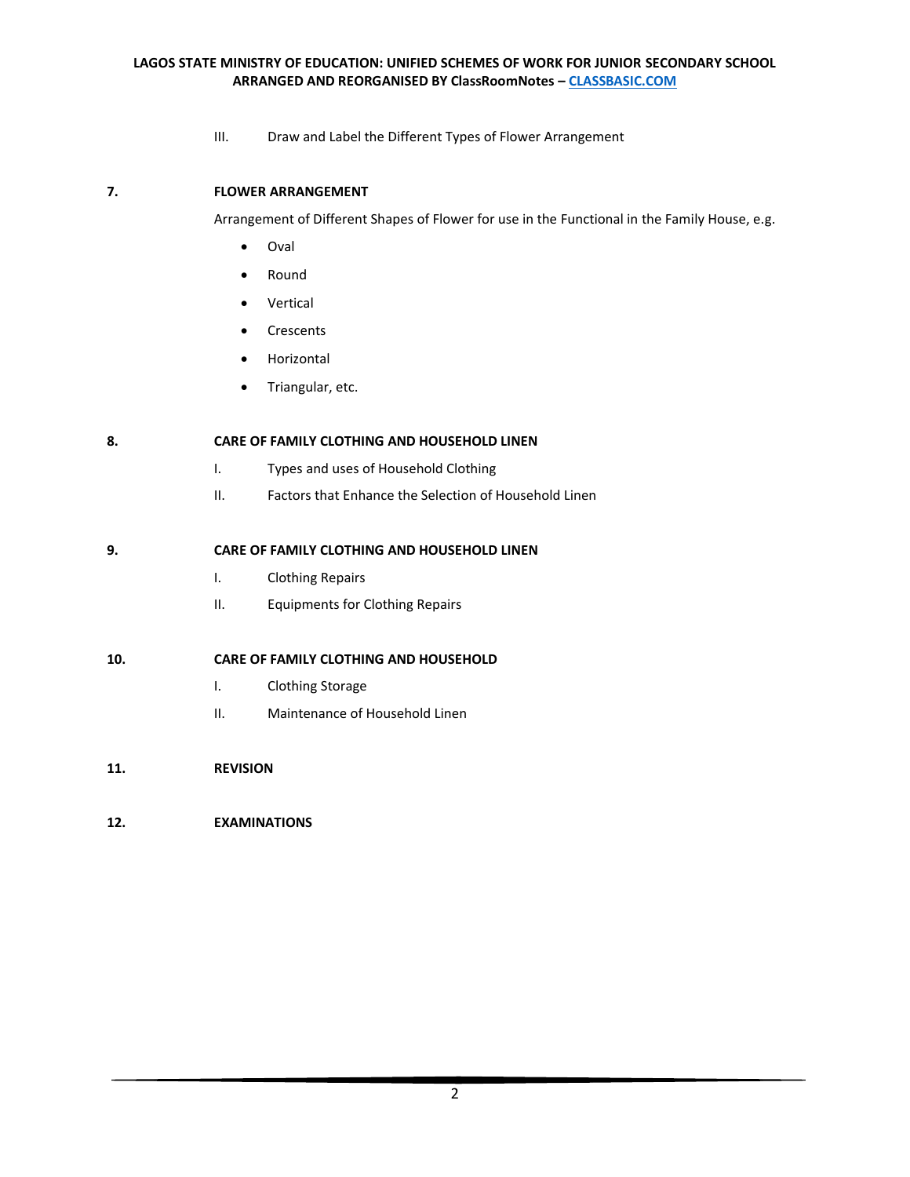III. Draw and Label the Different Types of Flower Arrangement

# **7. FLOWER ARRANGEMENT**

Arrangement of Different Shapes of Flower for use in the Functional in the Family House, e.g.

- Oval
- Round
- Vertical
- Crescents
- Horizontal
- Triangular, etc.

# **8. CARE OF FAMILY CLOTHING AND HOUSEHOLD LINEN**

- I. Types and uses of Household Clothing
- II. Factors that Enhance the Selection of Household Linen

### **9. CARE OF FAMILY CLOTHING AND HOUSEHOLD LINEN**

- I. Clothing Repairs
- II. Equipments for Clothing Repairs

### **10. CARE OF FAMILY CLOTHING AND HOUSEHOLD**

- I. Clothing Storage
- II. Maintenance of Household Linen
- **11. REVISION**

# **12. EXAMINATIONS**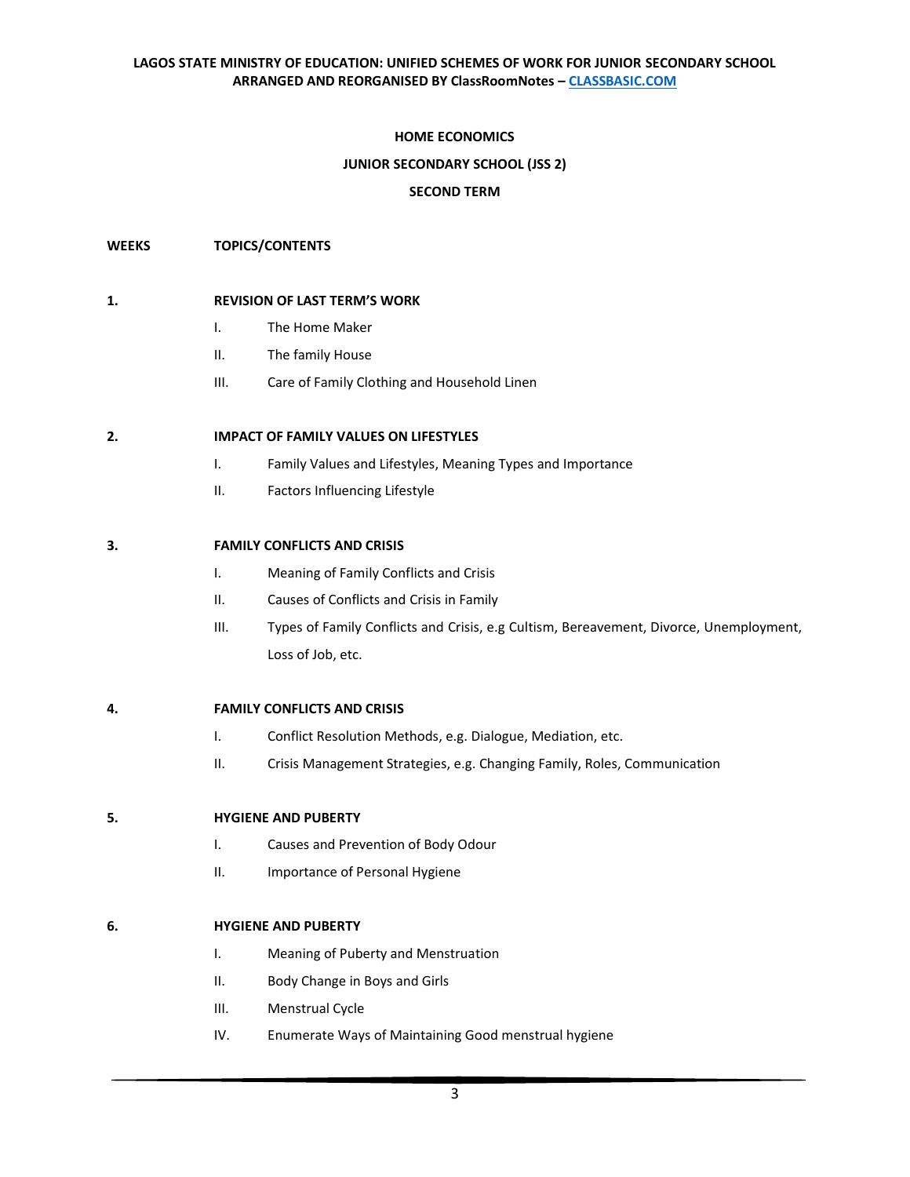### **HOME ECONOMICS**

### **JUNIOR SECONDARY SCHOOL (JSS 2)**

### **SECOND TERM**

### **WEEKS TOPICS/CONTENTS**

### **1. REVISION OF LAST TERM'S WORK**

- I. The Home Maker
- II. The family House
- III. Care of Family Clothing and Household Linen

### **2. IMPACT OF FAMILY VALUES ON LIFESTYLES**

- I. Family Values and Lifestyles, Meaning Types and Importance
- II. Factors Influencing Lifestyle

### **3. FAMILY CONFLICTS AND CRISIS**

- I. Meaning of Family Conflicts and Crisis
- II. Causes of Conflicts and Crisis in Family
- III. Types of Family Conflicts and Crisis, e.g Cultism, Bereavement, Divorce, Unemployment, Loss of Job, etc.

### **4. FAMILY CONFLICTS AND CRISIS**

- I. Conflict Resolution Methods, e.g. Dialogue, Mediation, etc.
- II. Crisis Management Strategies, e.g. Changing Family, Roles, Communication

### **5. HYGIENE AND PUBERTY**

- I. Causes and Prevention of Body Odour
- II. Importance of Personal Hygiene

### **6. HYGIENE AND PUBERTY**

- I. Meaning of Puberty and Menstruation
- II. Body Change in Boys and Girls
- III. Menstrual Cycle
- IV. Enumerate Ways of Maintaining Good menstrual hygiene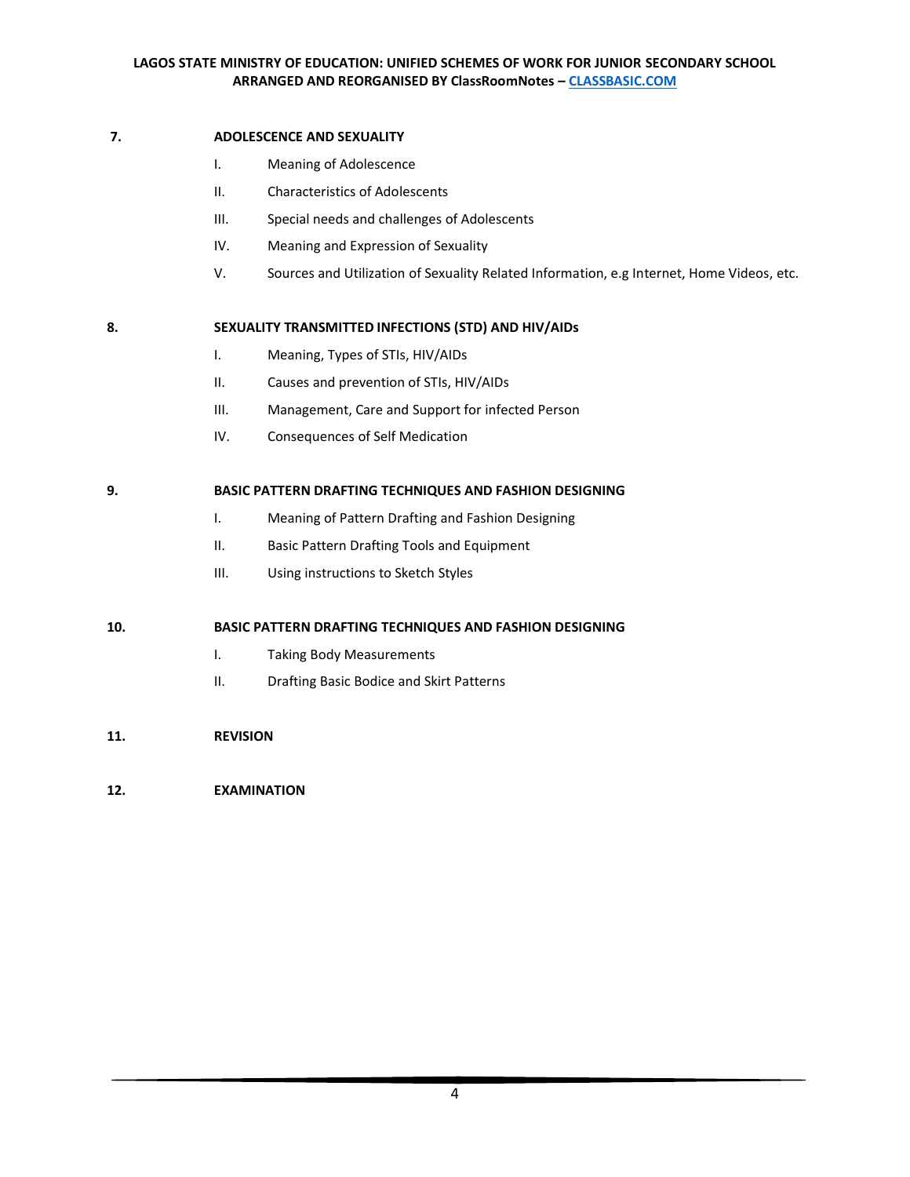### **7. ADOLESCENCE AND SEXUALITY**

- I. Meaning of Adolescence
- II. Characteristics of Adolescents
- III. Special needs and challenges of Adolescents
- IV. Meaning and Expression of Sexuality
- V. Sources and Utilization of Sexuality Related Information, e.g Internet, Home Videos, etc.

# **8. SEXUALITY TRANSMITTED INFECTIONS (STD) AND HIV/AIDs**

- I. Meaning, Types of STIs, HIV/AIDs
- II. Causes and prevention of STIs, HIV/AIDs
- III. Management, Care and Support for infected Person
- IV. Consequences of Self Medication

# **9. BASIC PATTERN DRAFTING TECHNIQUES AND FASHION DESIGNING**

- I. Meaning of Pattern Drafting and Fashion Designing
- II. Basic Pattern Drafting Tools and Equipment
- III. Using instructions to Sketch Styles

# **10. BASIC PATTERN DRAFTING TECHNIQUES AND FASHION DESIGNING**

- I. Taking Body Measurements
- II. Drafting Basic Bodice and Skirt Patterns
- **11. REVISION**

# **12. EXAMINATION**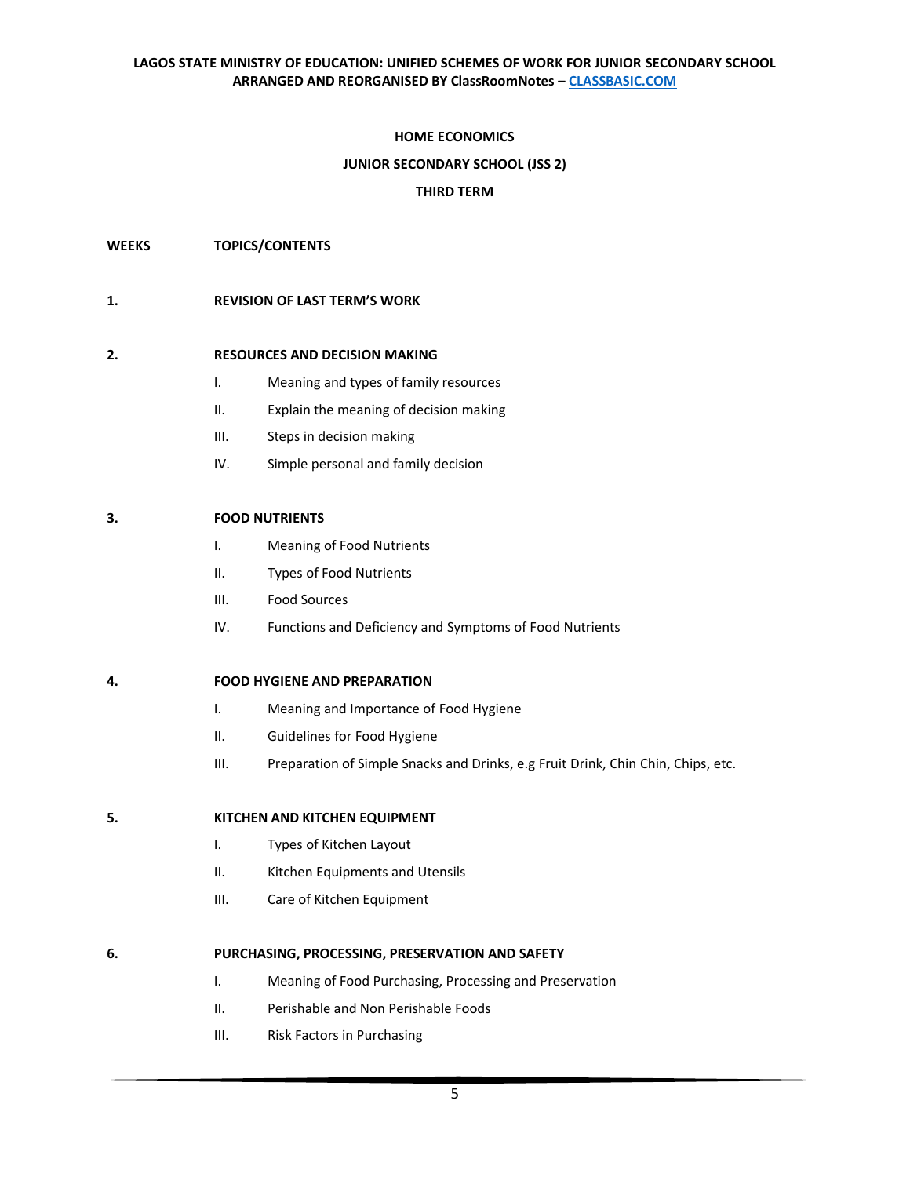### **HOME ECONOMICS**

### **JUNIOR SECONDARY SCHOOL (JSS 2)**

### **THIRD TERM**

**WEEKS TOPICS/CONTENTS**

### **1. REVISION OF LAST TERM'S WORK**

### **2. RESOURCES AND DECISION MAKING**

- I. Meaning and types of family resources
- II. Explain the meaning of decision making
- III. Steps in decision making
- IV. Simple personal and family decision

### **3. FOOD NUTRIENTS**

- I. Meaning of Food Nutrients
- II. Types of Food Nutrients
- III. Food Sources
- IV. Functions and Deficiency and Symptoms of Food Nutrients

#### **4. FOOD HYGIENE AND PREPARATION**

- I. Meaning and Importance of Food Hygiene
- II. Guidelines for Food Hygiene
- III. Preparation of Simple Snacks and Drinks, e.g Fruit Drink, Chin Chin, Chips, etc.

#### **5. KITCHEN AND KITCHEN EQUIPMENT**

- I. Types of Kitchen Layout
- II. Kitchen Equipments and Utensils
- III. Care of Kitchen Equipment

#### **6. PURCHASING, PROCESSING, PRESERVATION AND SAFETY**

- I. Meaning of Food Purchasing, Processing and Preservation
- II. Perishable and Non Perishable Foods
- III. Risk Factors in Purchasing